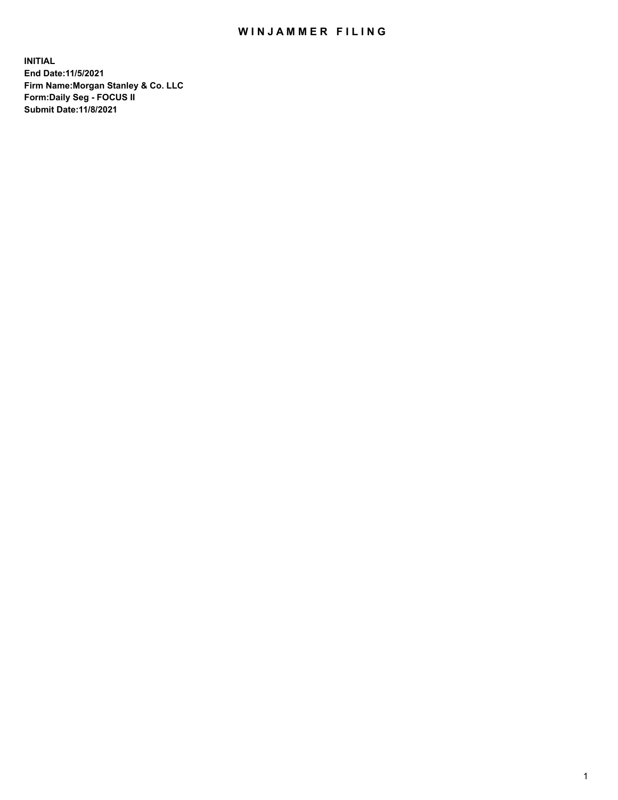## WIN JAMMER FILING

**INITIAL End Date:11/5/2021 Firm Name:Morgan Stanley & Co. LLC Form:Daily Seg - FOCUS II Submit Date:11/8/2021**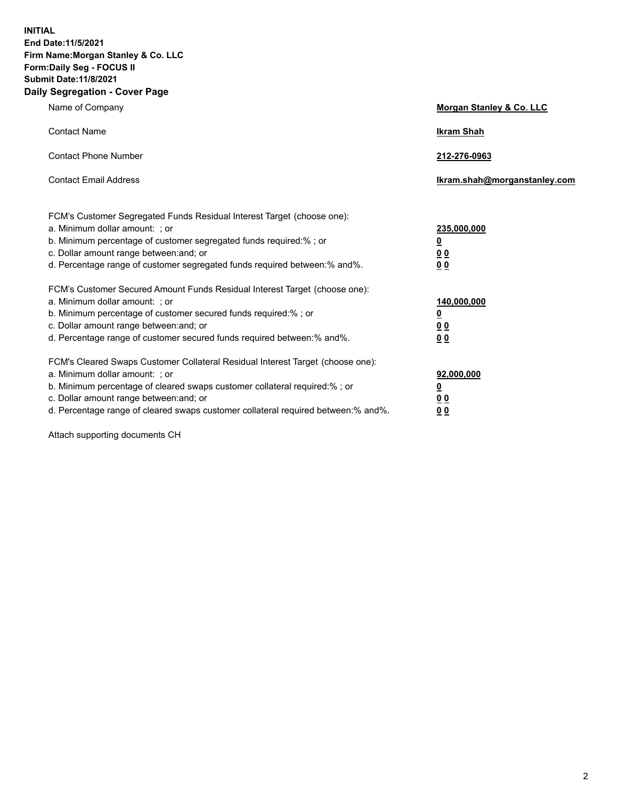**INITIAL End Date:11/5/2021 Firm Name:Morgan Stanley & Co. LLC Form:Daily Seg - FOCUS II Submit Date:11/8/2021 Daily Segregation - Cover Page**

| Name of Company                                                                                                                                                                                                                                                                                                               | Morgan Stanley & Co. LLC                               |
|-------------------------------------------------------------------------------------------------------------------------------------------------------------------------------------------------------------------------------------------------------------------------------------------------------------------------------|--------------------------------------------------------|
| <b>Contact Name</b>                                                                                                                                                                                                                                                                                                           | <b>Ikram Shah</b>                                      |
| <b>Contact Phone Number</b>                                                                                                                                                                                                                                                                                                   | 212-276-0963                                           |
| <b>Contact Email Address</b>                                                                                                                                                                                                                                                                                                  | Ikram.shah@morganstanley.com                           |
| FCM's Customer Segregated Funds Residual Interest Target (choose one):<br>a. Minimum dollar amount: ; or<br>b. Minimum percentage of customer segregated funds required:% ; or<br>c. Dollar amount range between: and; or<br>d. Percentage range of customer segregated funds required between:% and%.                        | 235,000,000<br><u>0</u><br><u>00</u><br>0 <sup>0</sup> |
| FCM's Customer Secured Amount Funds Residual Interest Target (choose one):<br>a. Minimum dollar amount: ; or<br>b. Minimum percentage of customer secured funds required:%; or<br>c. Dollar amount range between: and; or<br>d. Percentage range of customer secured funds required between:% and%.                           | 140,000,000<br><u>0</u><br><u>00</u><br>0 <sub>0</sub> |
| FCM's Cleared Swaps Customer Collateral Residual Interest Target (choose one):<br>a. Minimum dollar amount: ; or<br>b. Minimum percentage of cleared swaps customer collateral required:%; or<br>c. Dollar amount range between: and; or<br>d. Percentage range of cleared swaps customer collateral required between:% and%. | 92,000,000<br><u>0</u><br>0 Q<br>00                    |

Attach supporting documents CH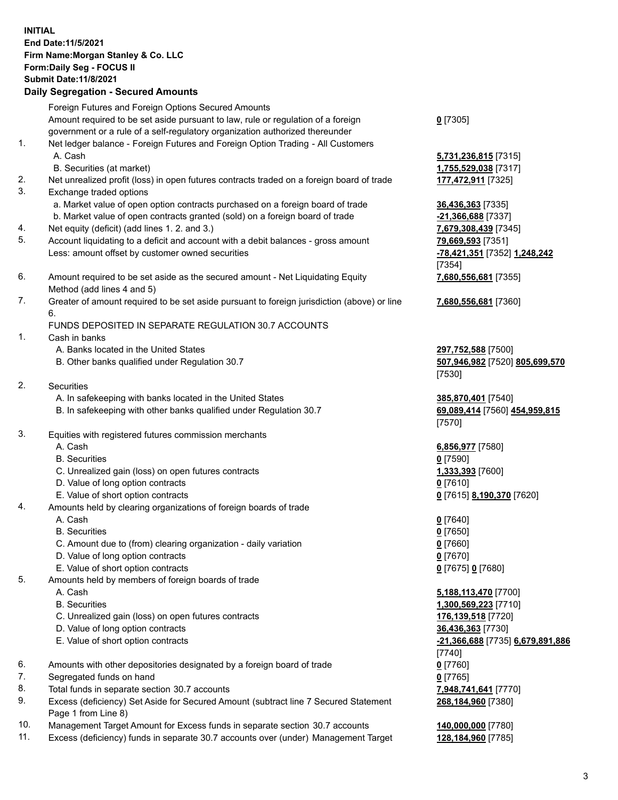## **INITIAL End Date:11/5/2021 Firm Name:Morgan Stanley & Co. LLC Form:Daily Seg - FOCUS II Submit Date:11/8/2021**

**Daily Segregation - Secured Amounts** Foreign Futures and Foreign Options Secured Amounts Amount required to be set aside pursuant to law, rule or regulation of a foreign government or a rule of a self-regulatory organization authorized thereunder 1. Net ledger balance - Foreign Futures and Foreign Option Trading - All Customers A. Cash **5,731,236,815** [7315] B. Securities (at market) **1,755,529,038** [7317] 2. Net unrealized profit (loss) in open futures contracts traded on a foreign board of trade **177,472,911** [7325] 3. Exchange traded options a. Market value of open option contracts purchased on a foreign board of trade **36,436,363** [7335] b. Market value of open contracts granted (sold) on a foreign board of trade **-21,366,688** [7337] 4. Net equity (deficit) (add lines 1. 2. and 3.) **7,679,308,439** [7345] 5. Account liquidating to a deficit and account with a debit balances - gross amount **79,669,593** [7351] Less: amount offset by customer owned securities **-78,421,351** [7352] **1,248,242** 6. Amount required to be set aside as the secured amount - Net Liquidating Equity Method (add lines 4 and 5) 7. Greater of amount required to be set aside pursuant to foreign jurisdiction (above) or line 6. FUNDS DEPOSITED IN SEPARATE REGULATION 30.7 ACCOUNTS 1. Cash in banks A. Banks located in the United States **297,752,588** [7500] B. Other banks qualified under Regulation 30.7 **507,946,982** [7520] **805,699,570** 2. Securities A. In safekeeping with banks located in the United States **385,870,401** [7540] B. In safekeeping with other banks qualified under Regulation 30.7 **69,089,414** [7560] **454,959,815** 3. Equities with registered futures commission merchants A. Cash **6,856,977** [7580] B. Securities **0** [7590] C. Unrealized gain (loss) on open futures contracts **1,333,393** [7600] D. Value of long option contracts **0** [7610] E. Value of short option contracts **0** [7615] **8,190,370** [7620] 4. Amounts held by clearing organizations of foreign boards of trade A. Cash **0** [7640] B. Securities **0** [7650] C. Amount due to (from) clearing organization - daily variation **0** [7660] D. Value of long option contracts **0** [7670] E. Value of short option contracts **0** [7675] **0** [7680] 5. Amounts held by members of foreign boards of trade A. Cash **5,188,113,470** [7700] B. Securities **1,300,569,223** [7710] C. Unrealized gain (loss) on open futures contracts **176,139,518** [7720] D. Value of long option contracts **36,436,363** [7730]

- 
- 6. Amounts with other depositories designated by a foreign board of trade **0** [7760]
- 7. Segregated funds on hand **0** [7765]
- 8. Total funds in separate section 30.7 accounts **7,948,741,641** [7770]
- 9. Excess (deficiency) Set Aside for Secured Amount (subtract line 7 Secured Statement Page 1 from Line 8)
- 10. Management Target Amount for Excess funds in separate section 30.7 accounts **140,000,000** [7780]
- 11. Excess (deficiency) funds in separate 30.7 accounts over (under) Management Target **128,184,960** [7785]

**0** [7305]

[7354] **7,680,556,681** [7355]

**7,680,556,681** [7360]

[7530]

[7570]

 E. Value of short option contracts **-21,366,688** [7735] **6,679,891,886** [7740] **268,184,960** [7380]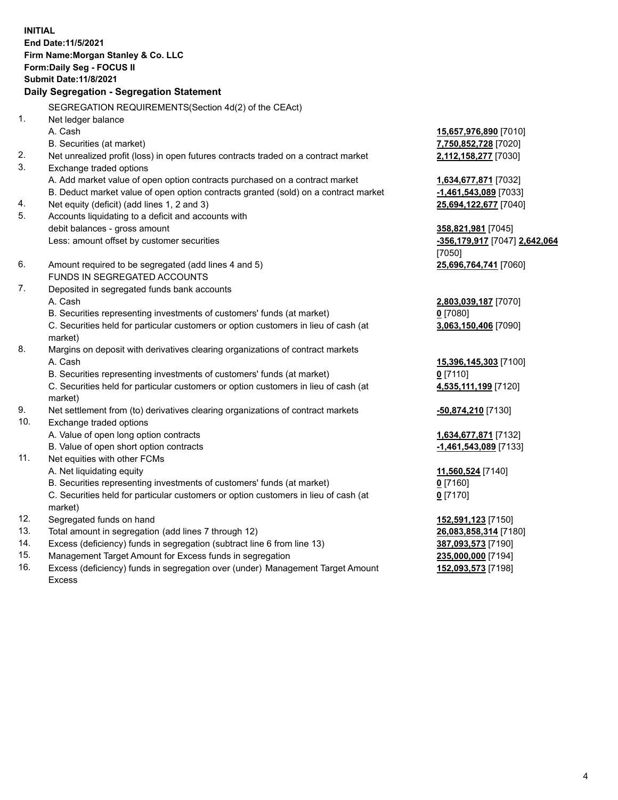**INITIAL End Date:11/5/2021 Firm Name:Morgan Stanley & Co. LLC Form:Daily Seg - FOCUS II Submit Date:11/8/2021 Daily Segregation - Segregation Statement** SEGREGATION REQUIREMENTS(Section 4d(2) of the CEAct) 1. Net ledger balance A. Cash **15,657,976,890** [7010] B. Securities (at market) **7,750,852,728** [7020] 2. Net unrealized profit (loss) in open futures contracts traded on a contract market **2,112,158,277** [7030] 3. Exchange traded options A. Add market value of open option contracts purchased on a contract market **1,634,677,871** [7032] B. Deduct market value of open option contracts granted (sold) on a contract market **-1,461,543,089** [7033] 4. Net equity (deficit) (add lines 1, 2 and 3) **25,694,122,677** [7040] 5. Accounts liquidating to a deficit and accounts with debit balances - gross amount **358,821,981** [7045] Less: amount offset by customer securities **-356,179,917** [7047] **2,642,064** [7050] 6. Amount required to be segregated (add lines 4 and 5) **25,696,764,741** [7060] FUNDS IN SEGREGATED ACCOUNTS 7. Deposited in segregated funds bank accounts A. Cash **2,803,039,187** [7070] B. Securities representing investments of customers' funds (at market) **0** [7080] C. Securities held for particular customers or option customers in lieu of cash (at market) **3,063,150,406** [7090] 8. Margins on deposit with derivatives clearing organizations of contract markets A. Cash **15,396,145,303** [7100] B. Securities representing investments of customers' funds (at market) **0** [7110] C. Securities held for particular customers or option customers in lieu of cash (at market) **4,535,111,199** [7120] 9. Net settlement from (to) derivatives clearing organizations of contract markets **-50,874,210** [7130] 10. Exchange traded options A. Value of open long option contracts **1,634,677,871** [7132] B. Value of open short option contracts **-1,461,543,089** [7133] 11. Net equities with other FCMs A. Net liquidating equity **11,560,524** [7140] B. Securities representing investments of customers' funds (at market) **0** [7160] C. Securities held for particular customers or option customers in lieu of cash (at market) **0** [7170] 12. Segregated funds on hand **152,591,123** [7150] 13. Total amount in segregation (add lines 7 through 12) **26,083,858,314** [7180] 14. Excess (deficiency) funds in segregation (subtract line 6 from line 13) **387,093,573** [7190] 15. Management Target Amount for Excess funds in segregation **235,000,000** [7194]

16. Excess (deficiency) funds in segregation over (under) Management Target Amount Excess

**152,093,573** [7198]